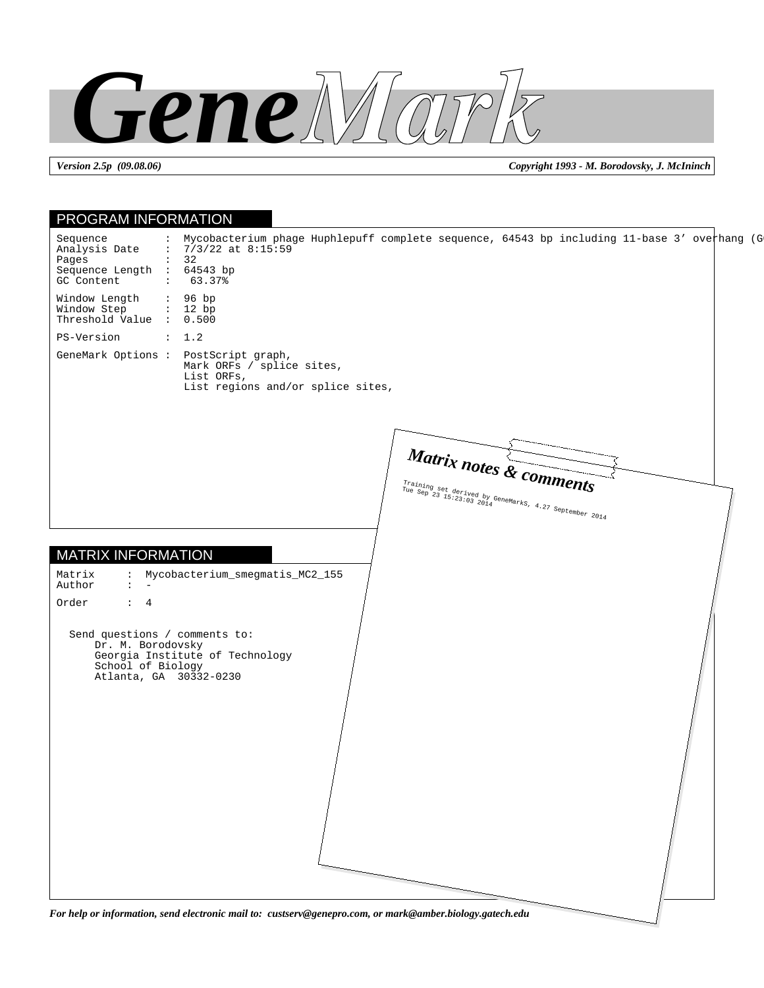

*Version 2.5p (09.08.06) Copyright 1993 - M. Borodovsky, J. McIninch*

## PROGRAM INFORMATION MATRIX INFORMATION Sequence : Mycobacterium phage Huphlepuff complete sequence, 64543 bp including 11-base 3' overhang (G<br>Analysis Date : 7/3/22 at 8:15:59  $: 7/3/22$  at 8:15:59<br> $: 32$ Pages Sequence Length : 64543 bp<br>GC Content : 63.37% GC Content Window Length : 96 bp<br>Window Step : 12 bp Window Step Threshold Value : 0.500 PS-Version : 1.2 GeneMark Options : PostScript graph, Mark ORFs / splice sites, List ORFs, List regions and/or splice sites, Matrix : Mycobacterium\_smegmatis\_MC2\_155 Author : - Order : 4 Send questions / comments to: Dr. M. Borodovsky Georgia Institute of Technology School of Biology Atlanta, GA 30332-0230 *Matrix notes & comments* Training set derived by GeneMarks, 4.27 September 2014

*For help or information, send electronic mail to: custserv@genepro.com, or mark@amber.biology.gatech.edu*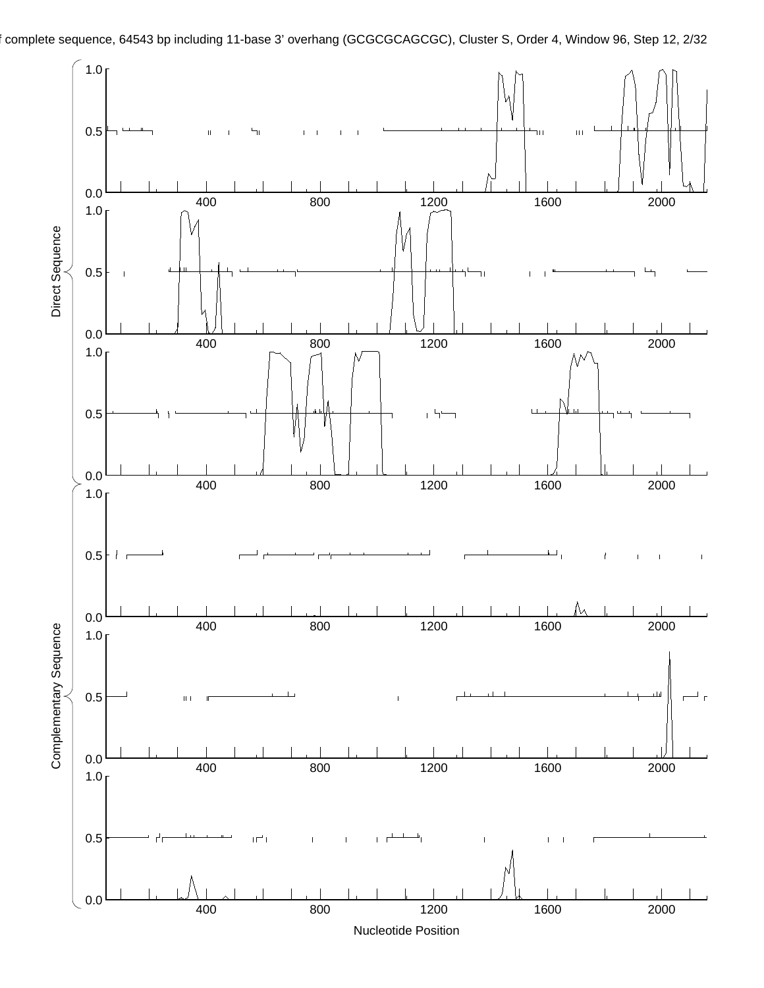

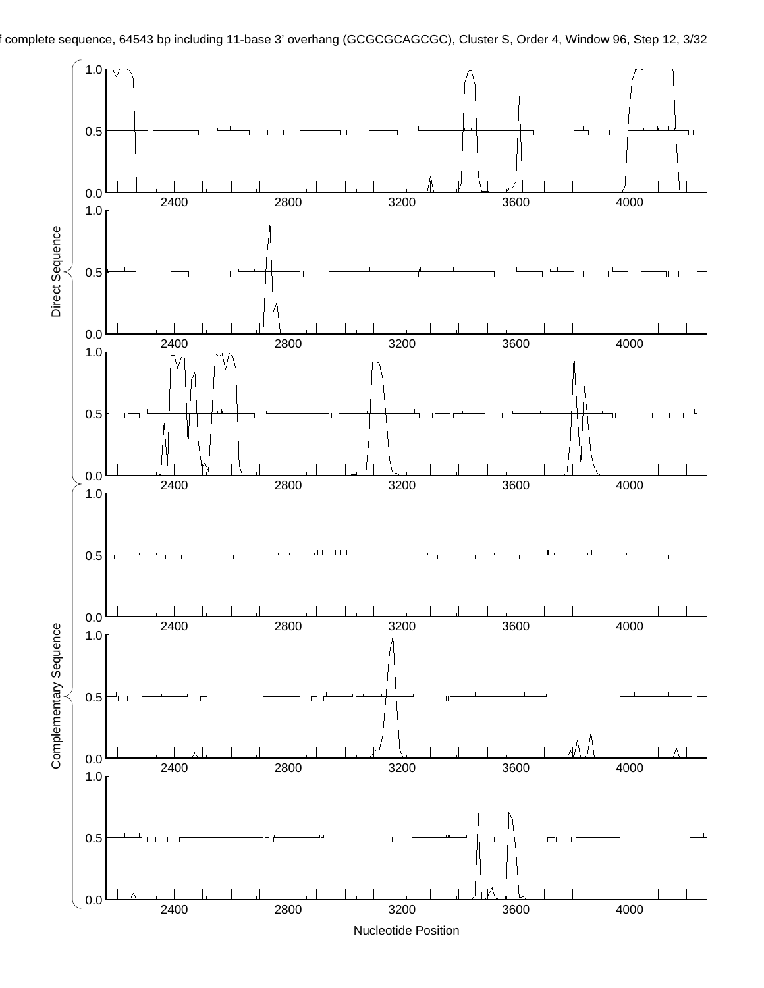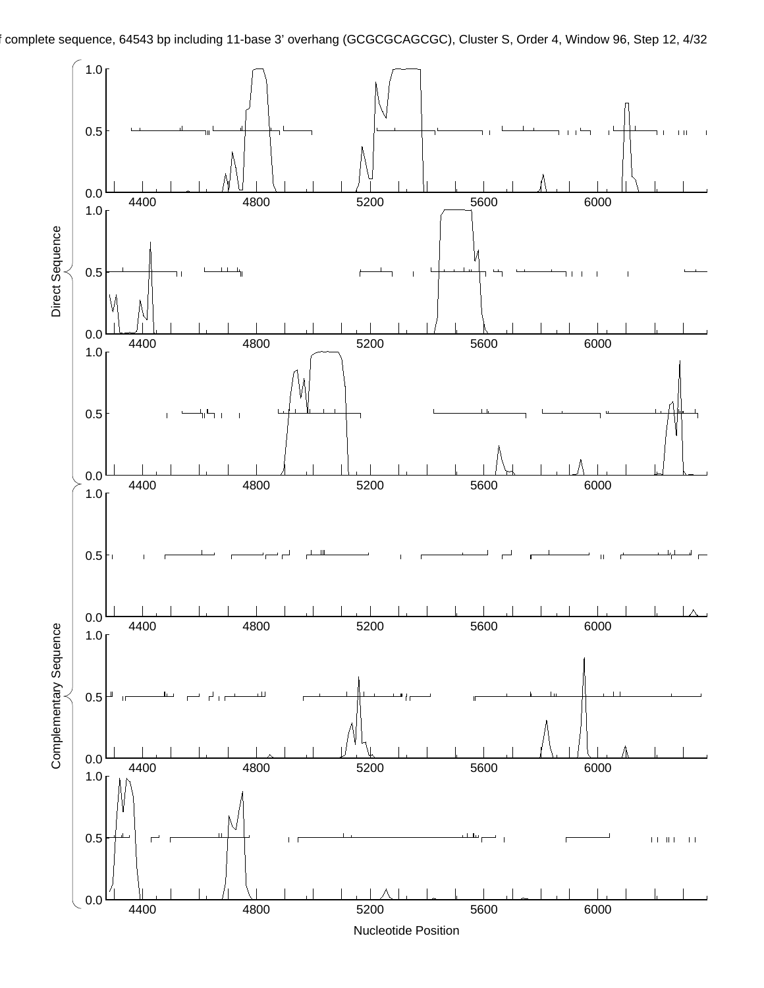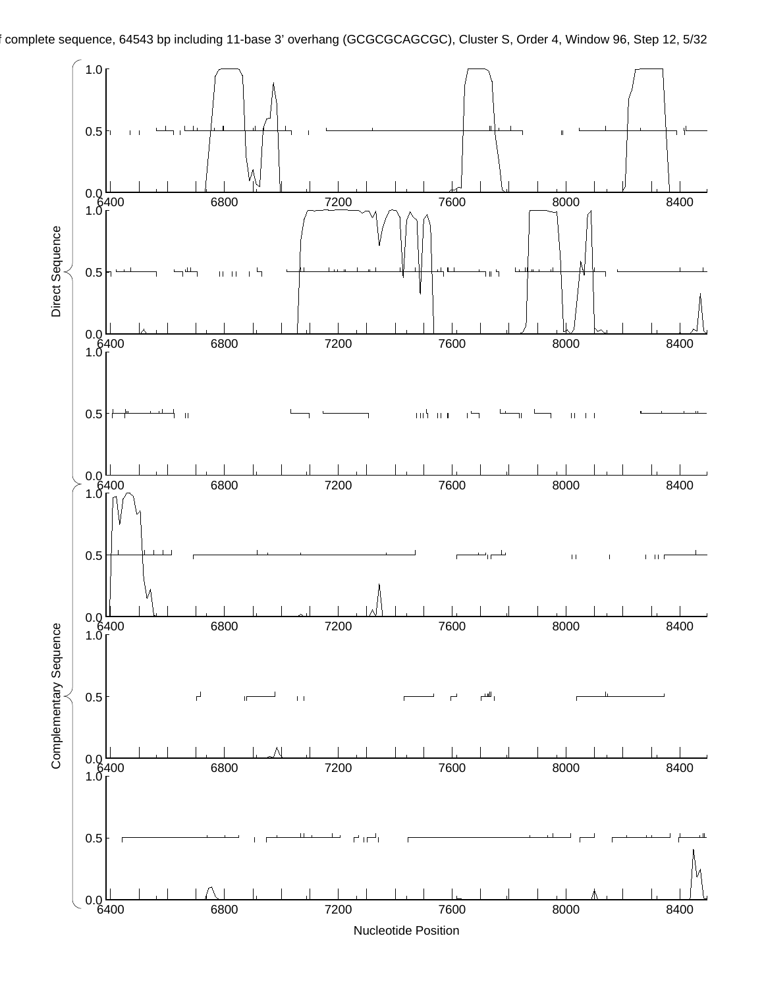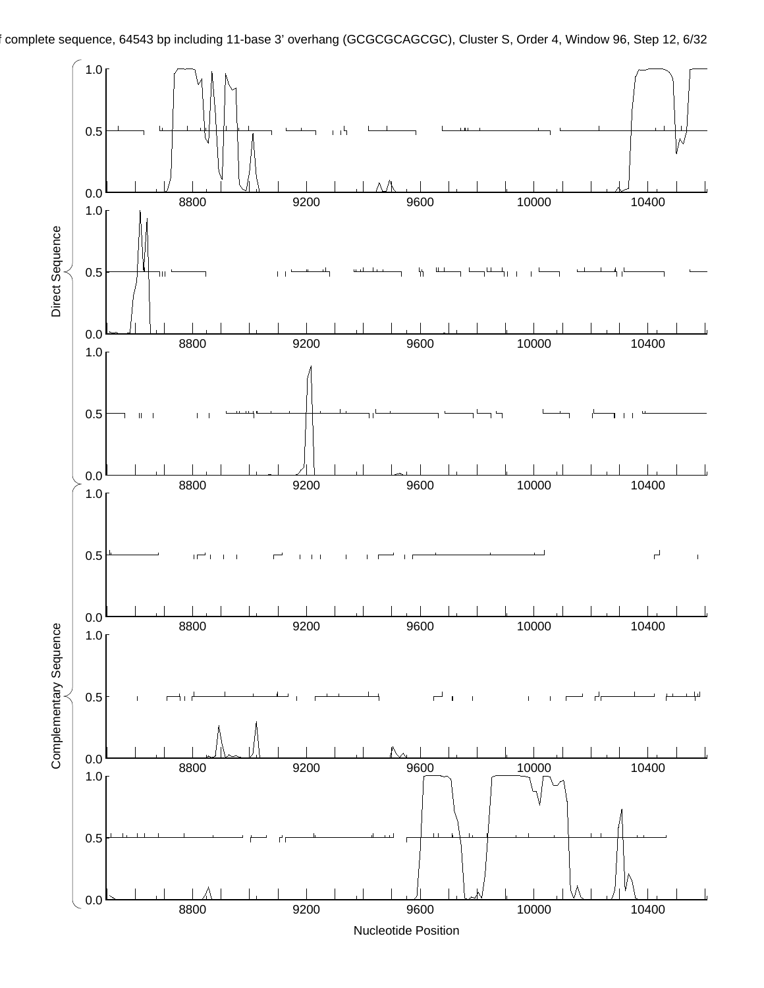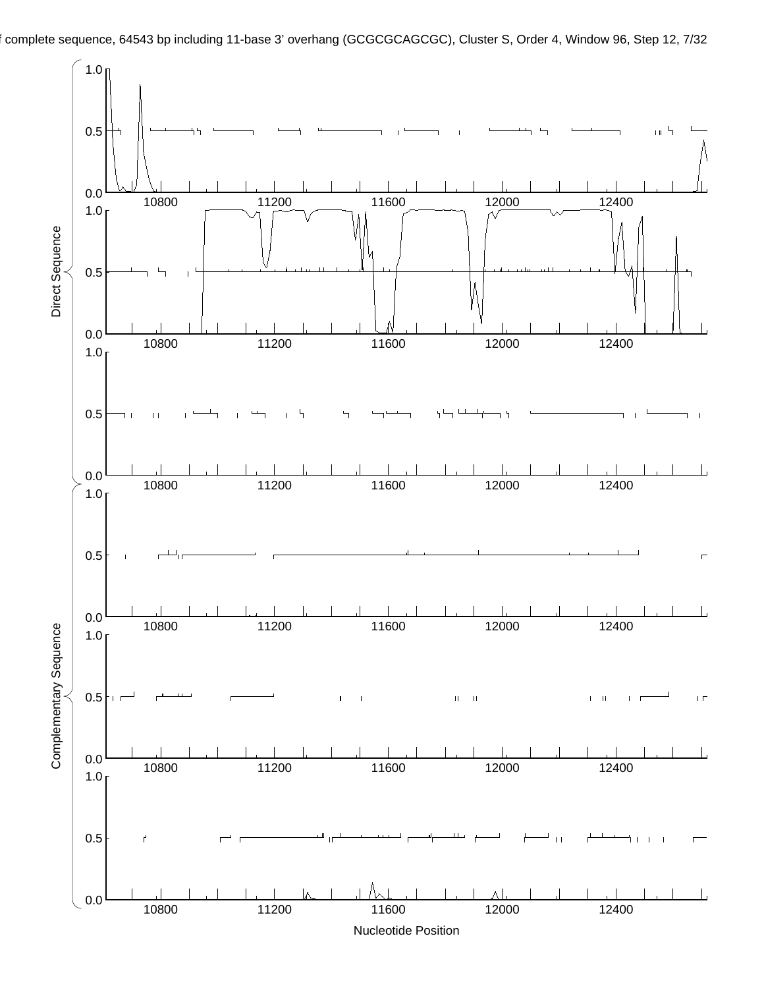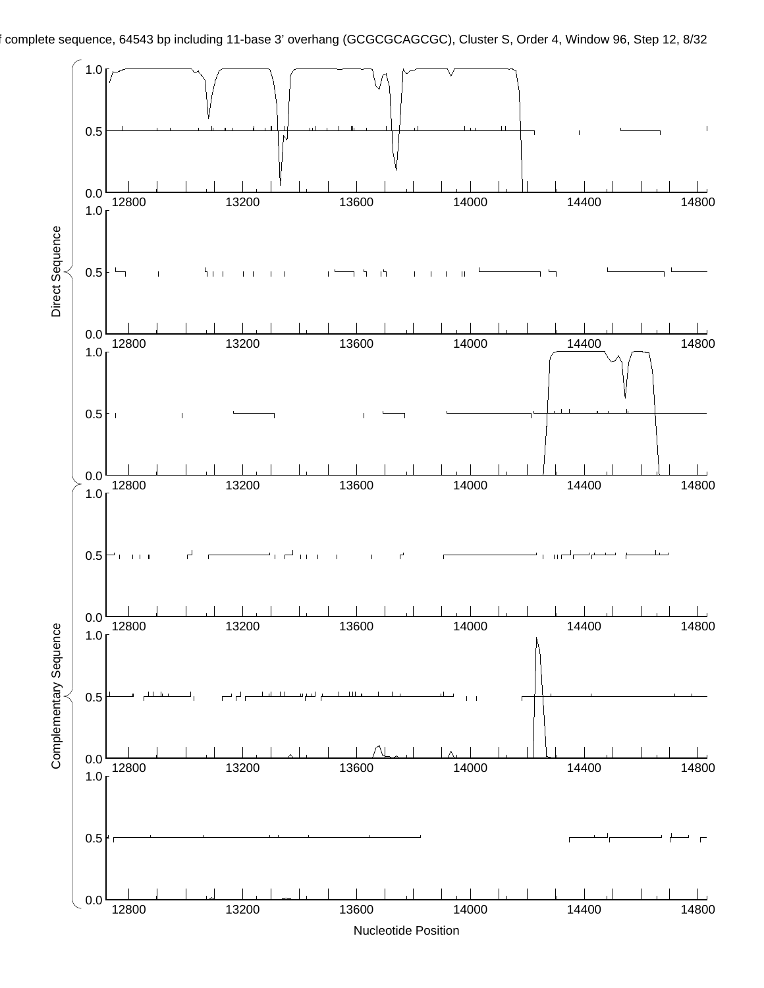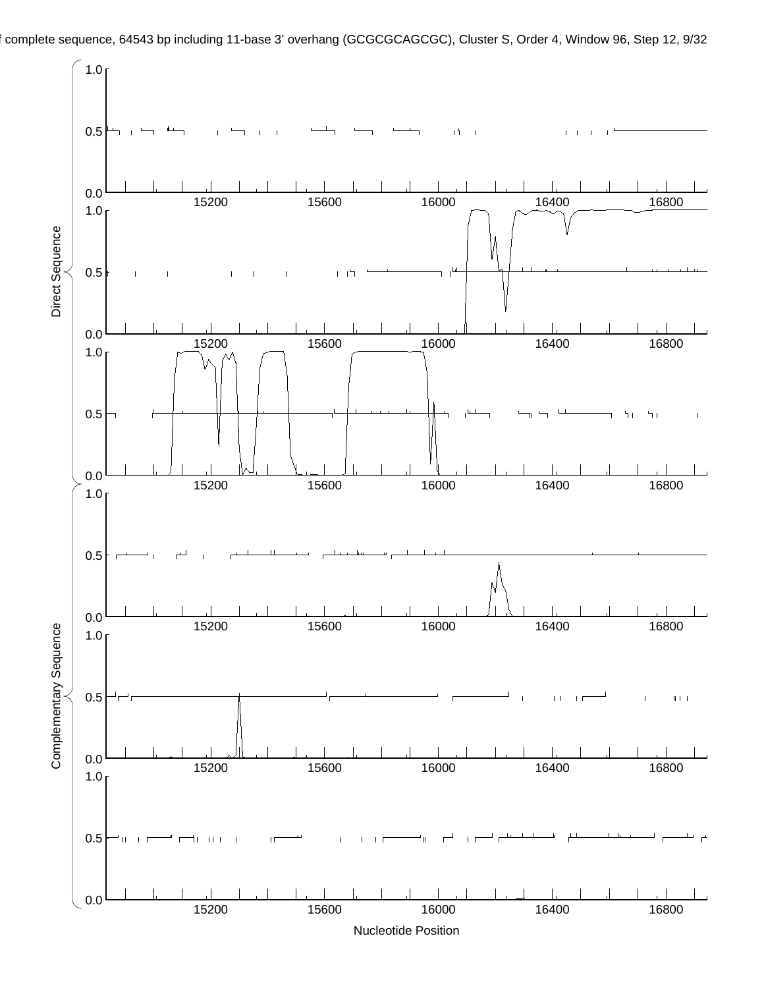

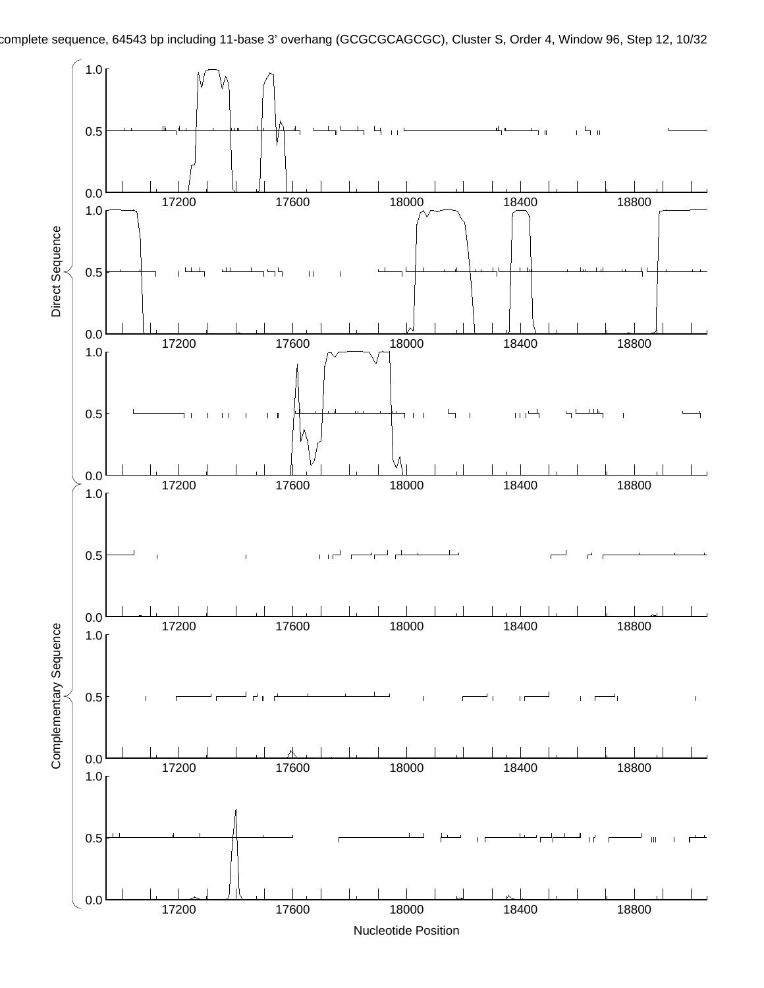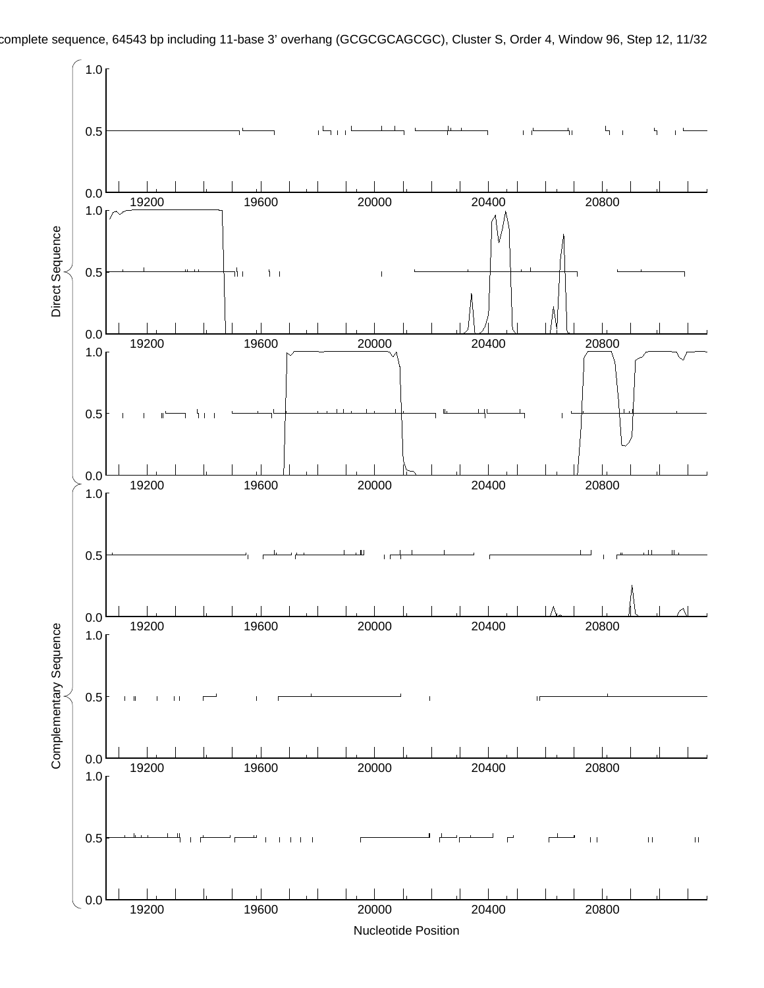

complete sequence, 64543 bp including 11-base 3' overhang (GCGCGCAGCGC), Cluster S, Order 4, Window 96, Step 12, 11/32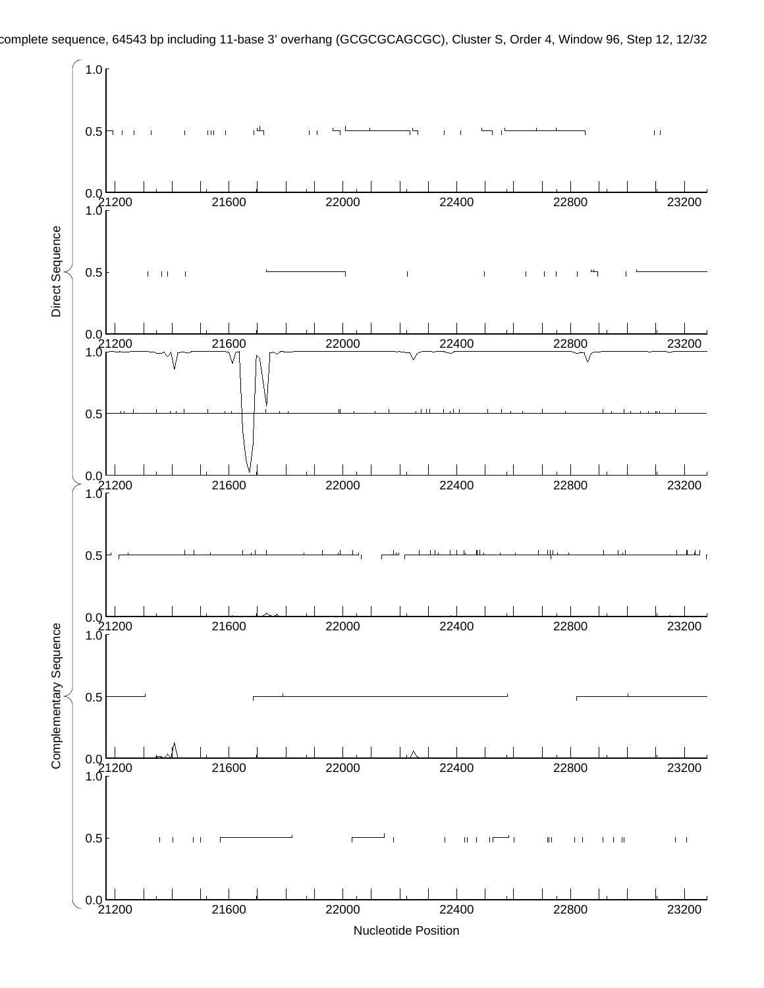

complete sequence, 64543 bp including 11-base 3' overhang (GCGCGCAGCGC), Cluster S, Order 4, Window 96, Step 12, 12/32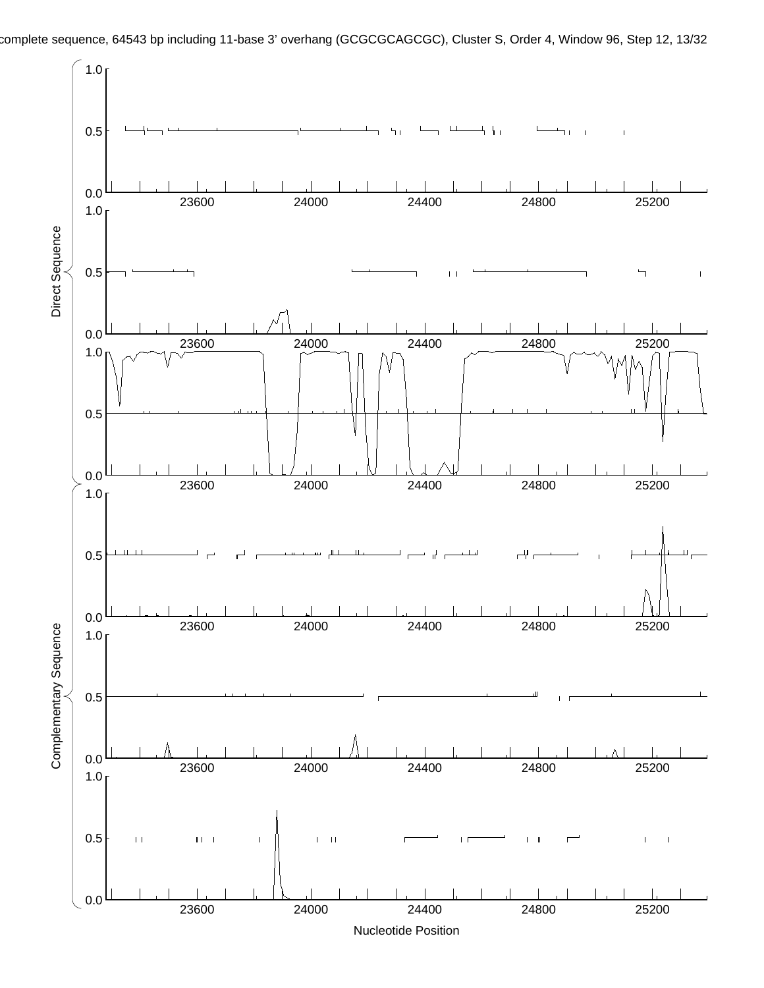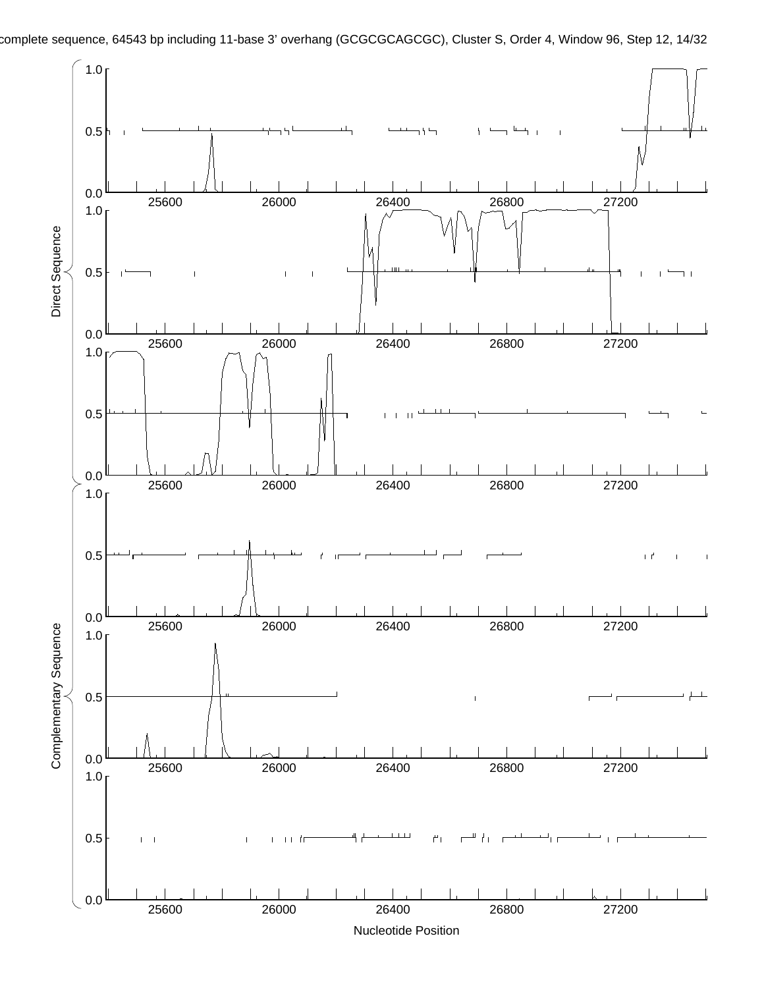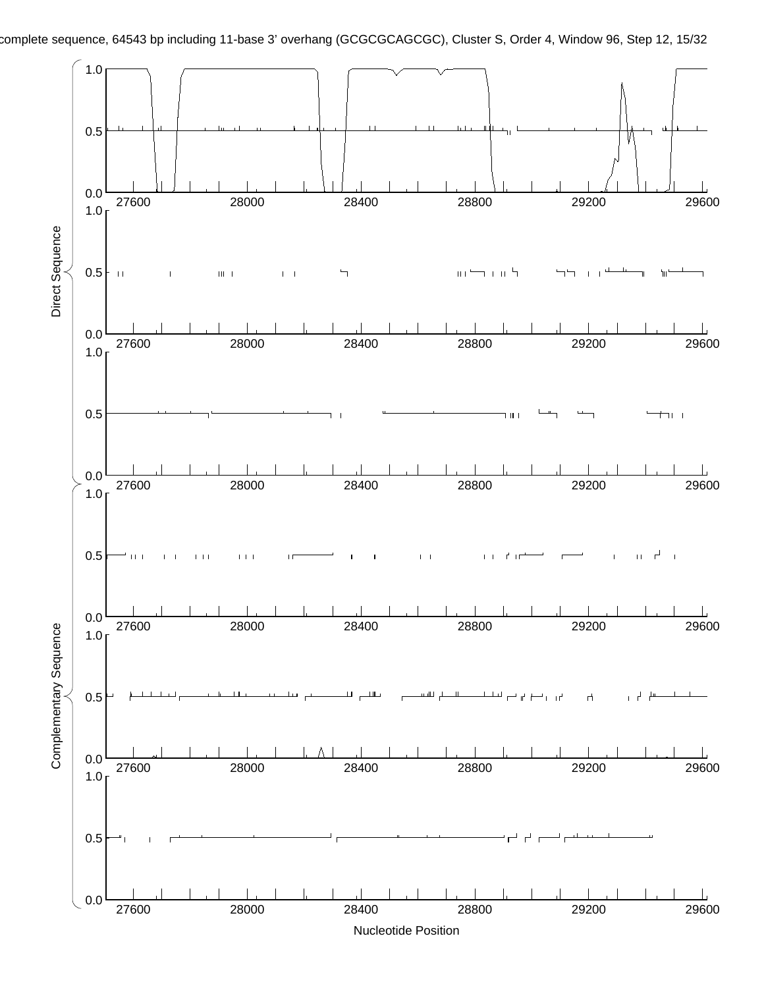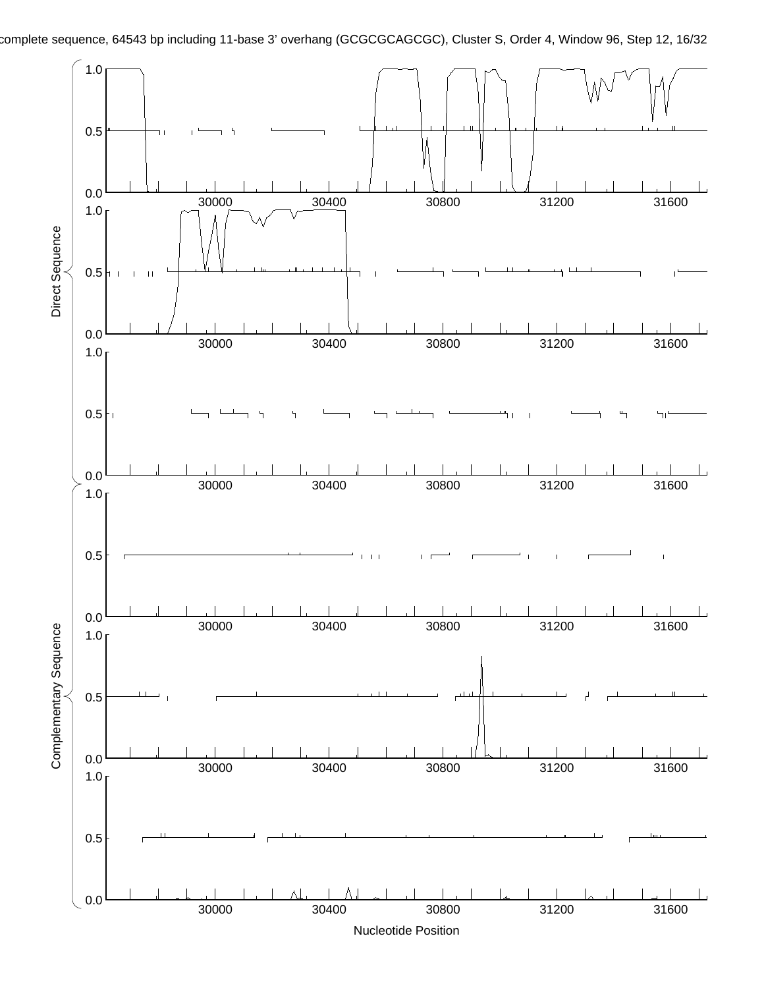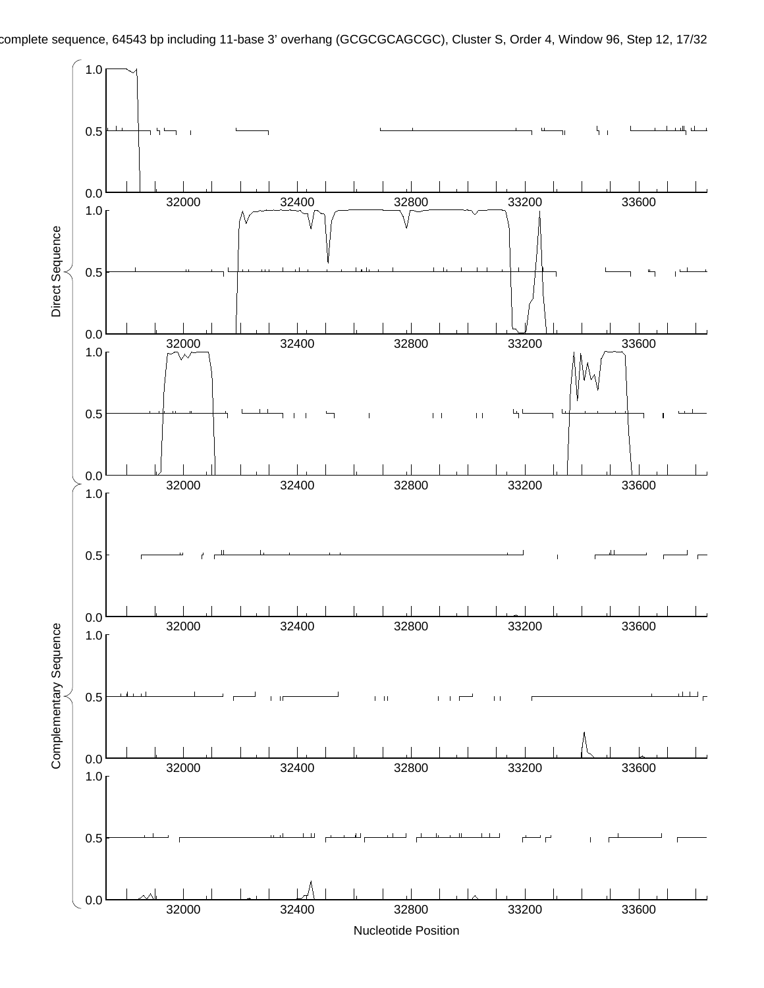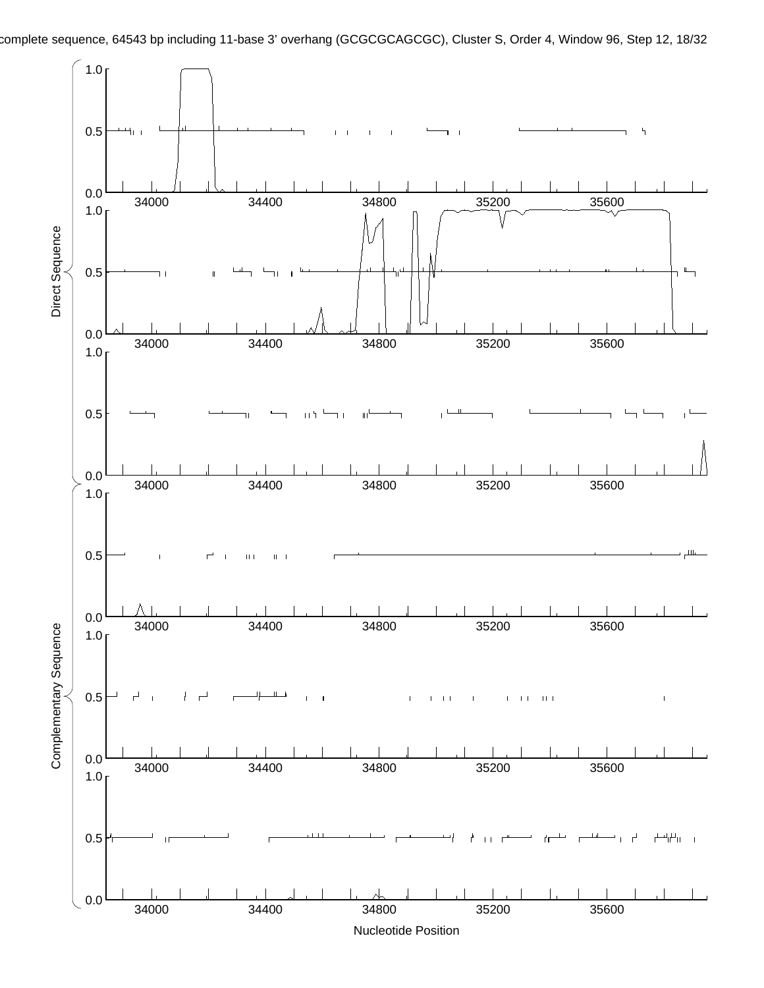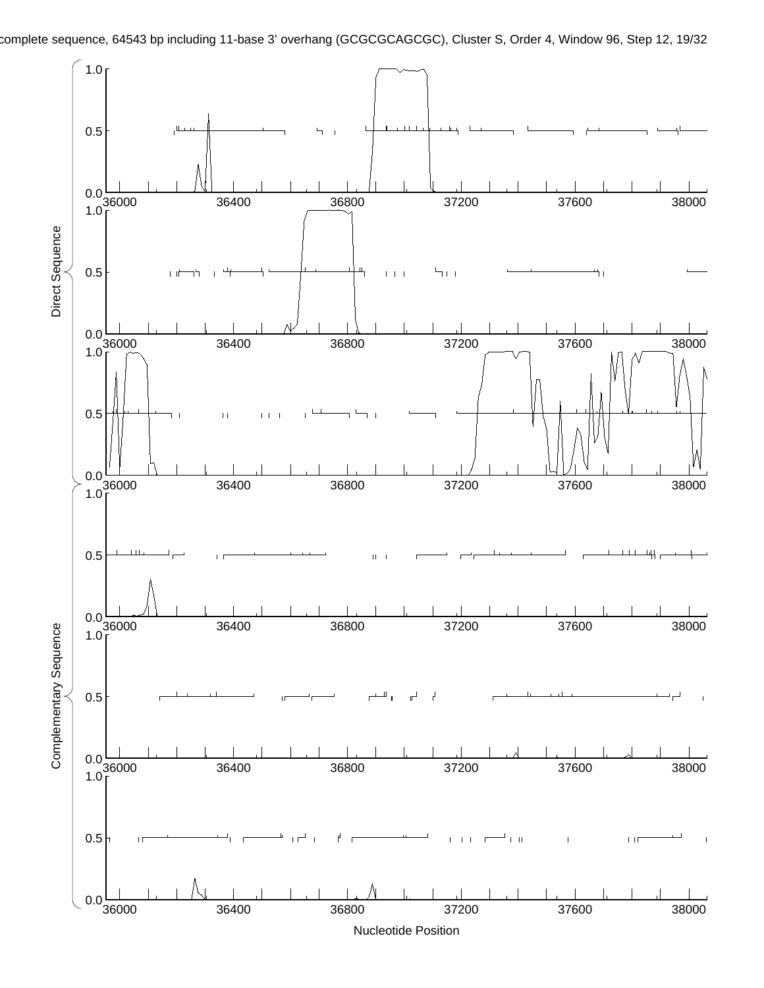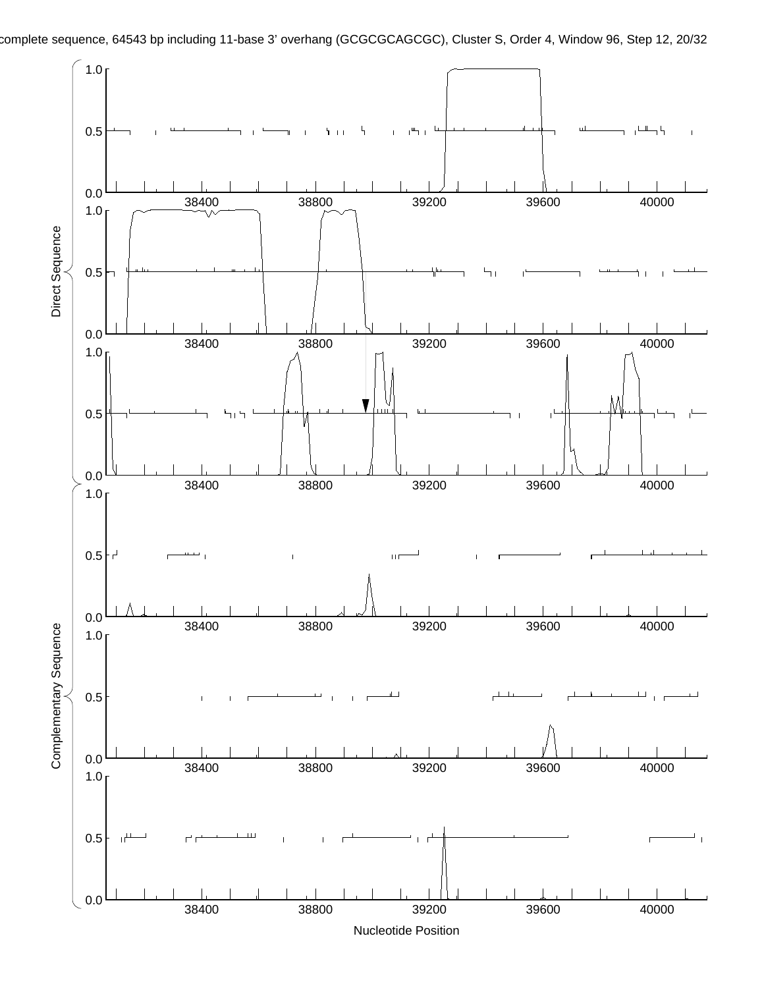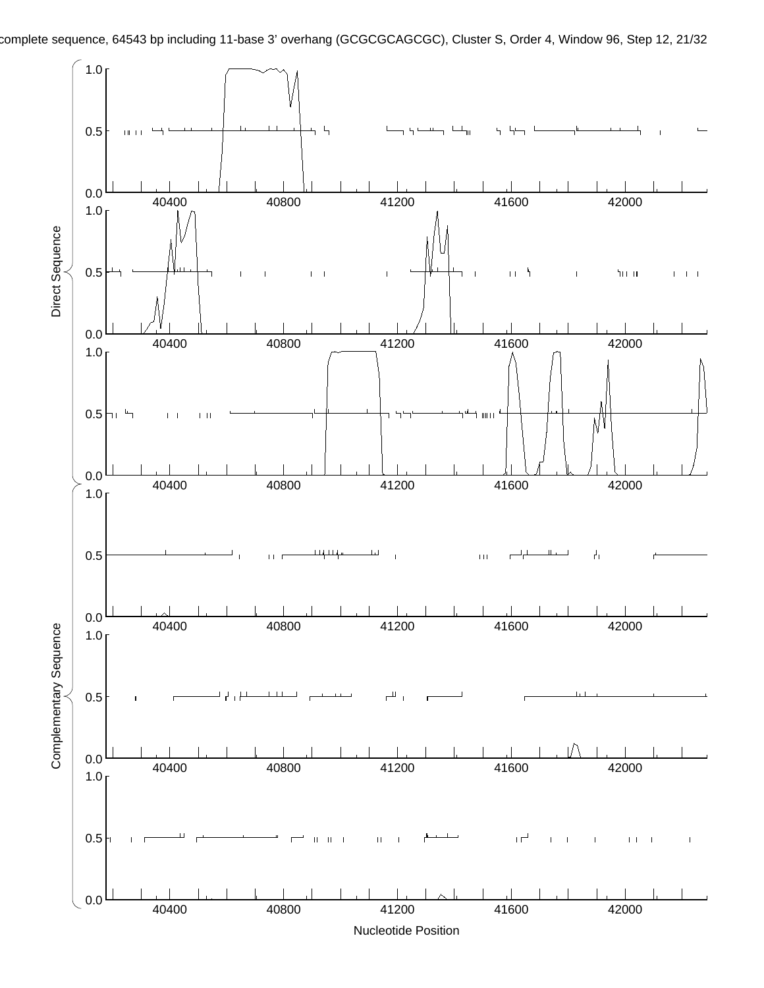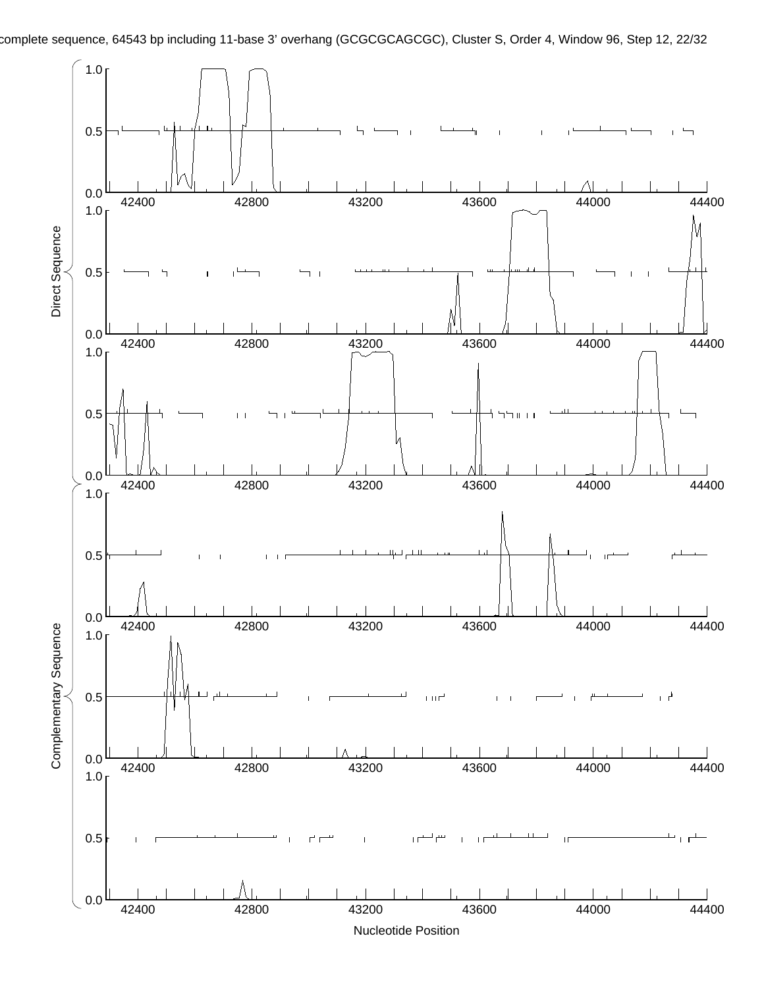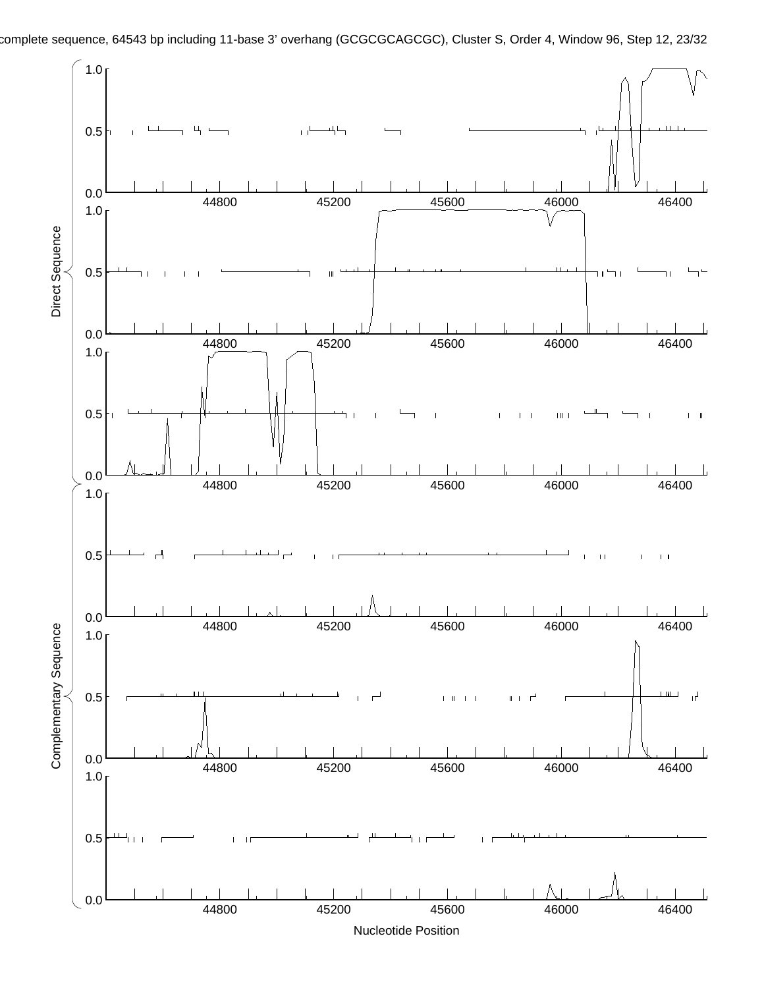

Nucleotide Position

complete sequence, 64543 bp including 11-base 3' overhang (GCGCGCAGCGC), Cluster S, Order 4, Window 96, Step 12, 23/32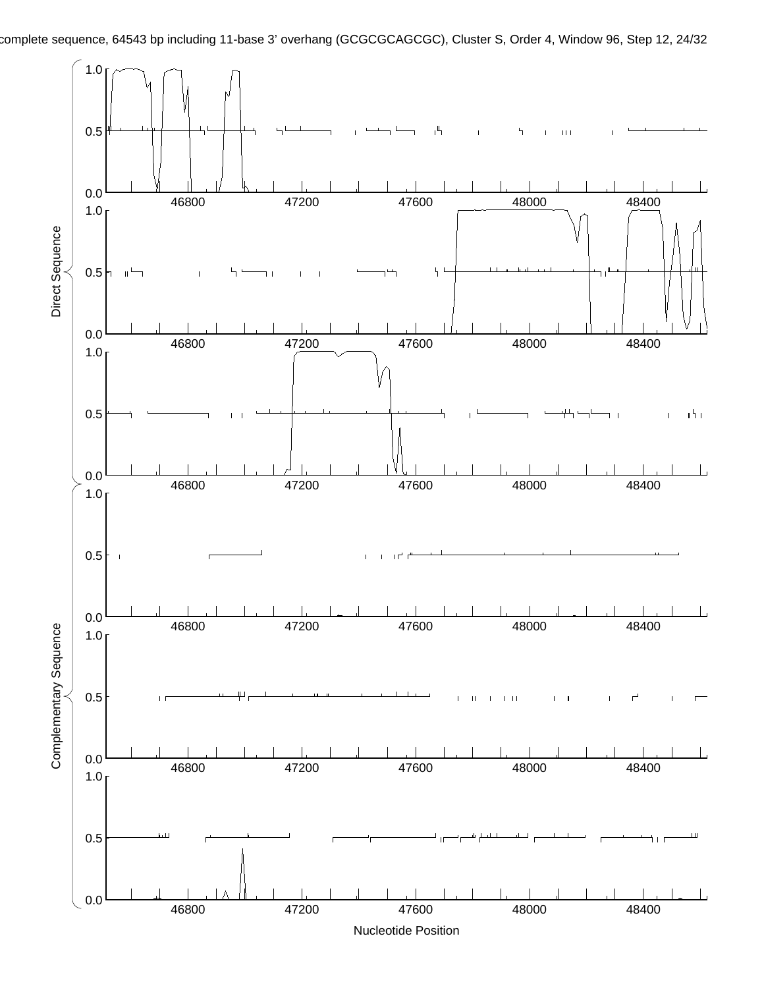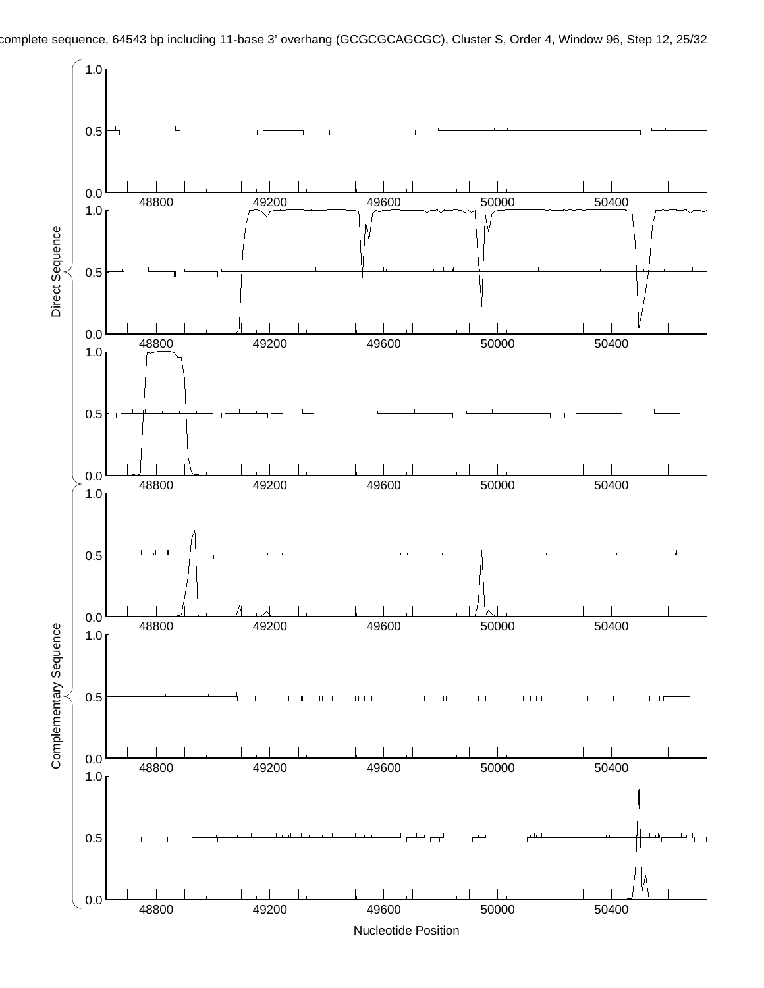

complete sequence, 64543 bp including 11-base 3' overhang (GCGCGCAGCGC), Cluster S, Order 4, Window 96, Step 12, 25/32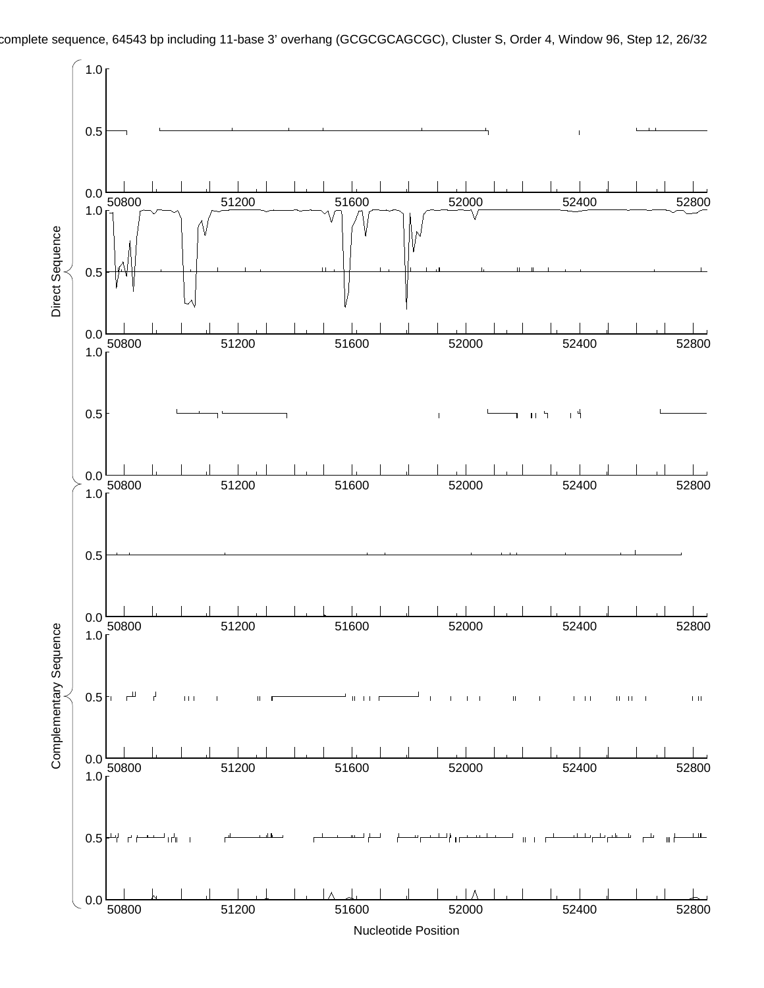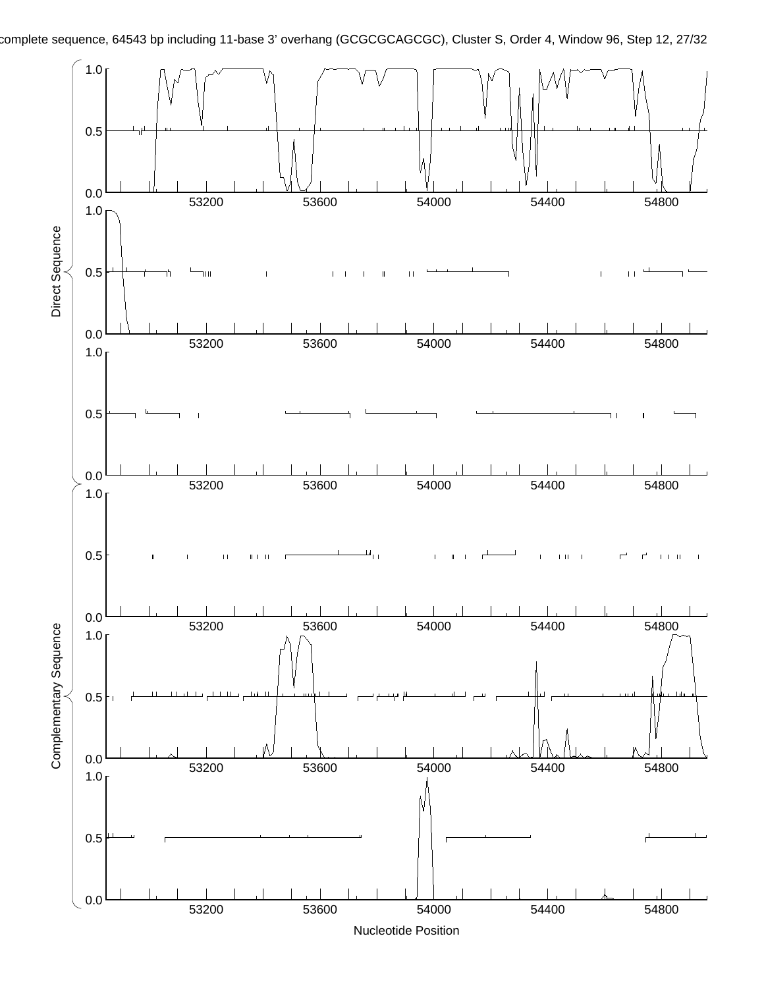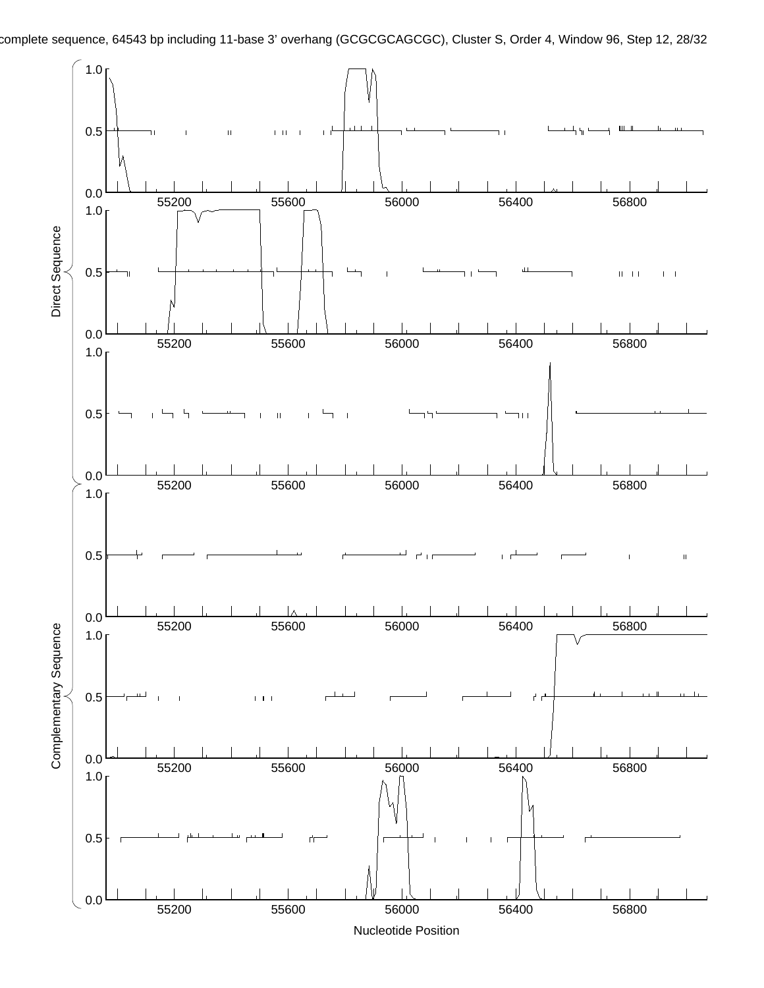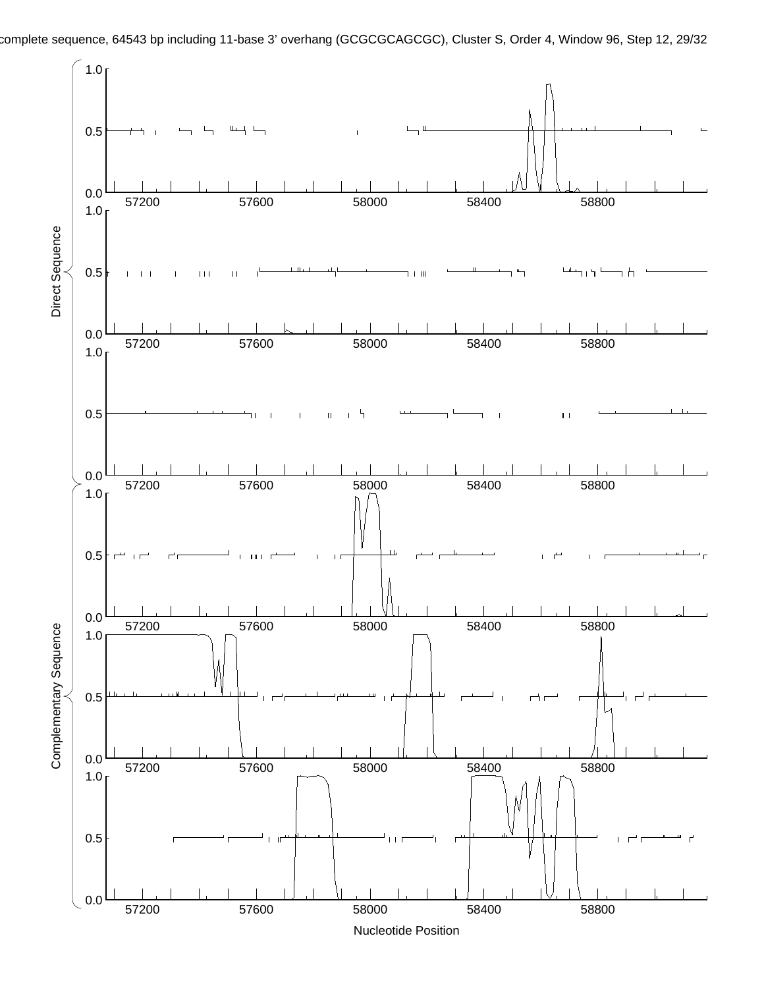

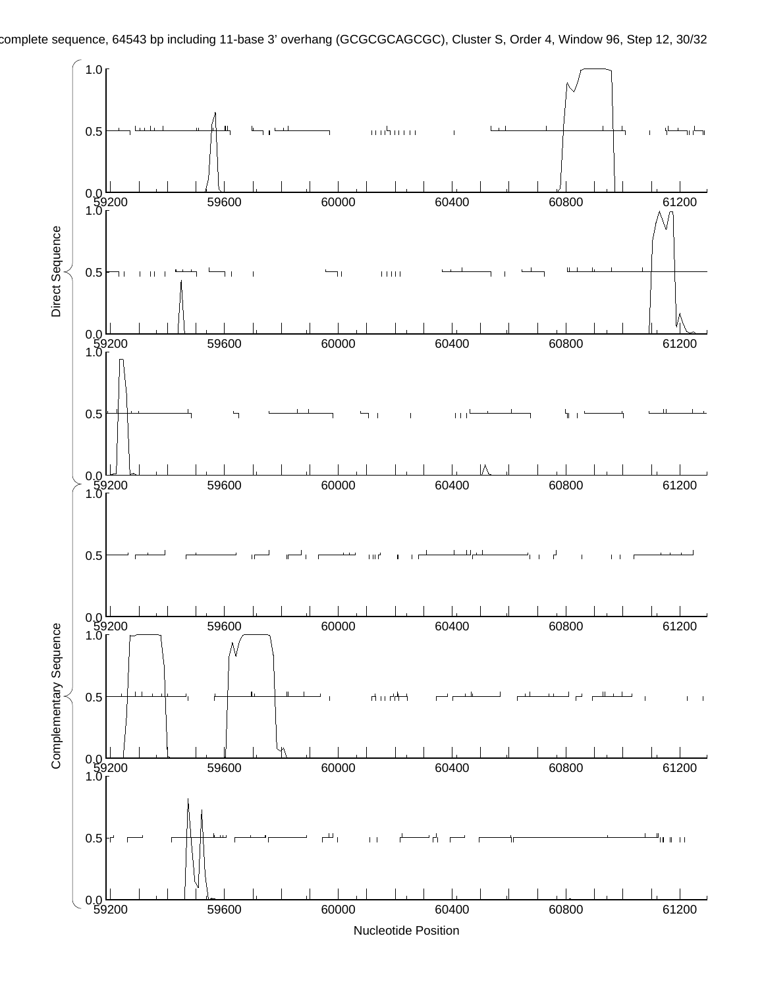

Nucleotide Position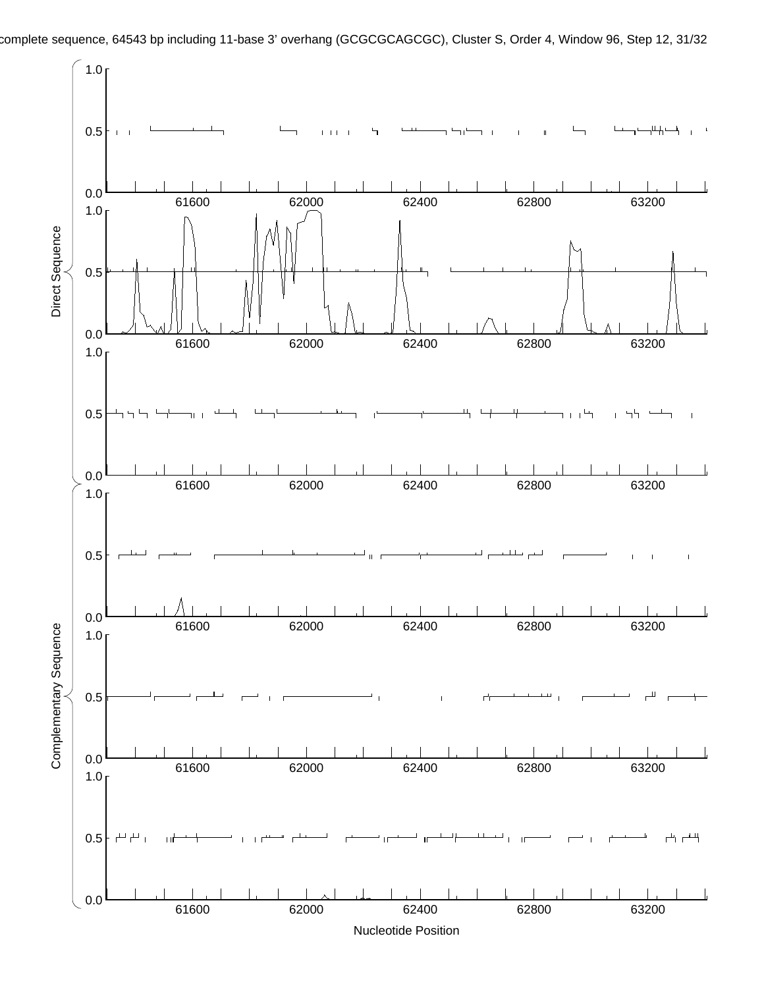